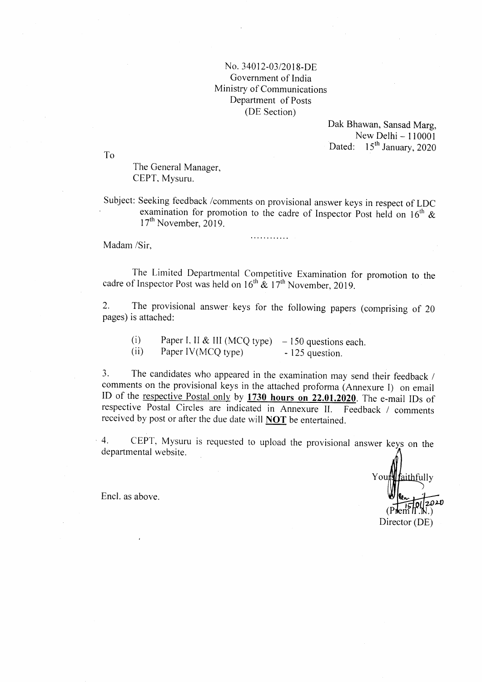## No. 34012-03/2018-DE Govemment of India Ministry of Communications Department of Posts (DE Section)

Dak Bhawan, Sansad Marg, New Delhi $-110001$ Dated: 15<sup>th</sup> January, 2020

To

The General Manager, CEPT, Mysuru.

Subject: Seeking feedback /comments on provisional answer keys in respect of LDC examination for promotion to the cadre of Inspector Post held on  $16<sup>th</sup>$  &  $17<sup>th</sup>$  November, 2019.

. . . . . . . . . . . . .

Madam /Sir,

The Limited Departmental Competitive Examination for promotion to the cadre of Inspector Post was held on  $16^{th}$  &  $17^{th}$  November, 2019.

2. The provisional answer keys for the following papers (comprising of <sup>20</sup> pages) is attached:

(i) Paper I, II & III (MCQ type)  $-150$  questions each.<br>
(ii) Paper IV(MCQ type)  $-125$  question.

3. The candidates who appeared in the examination may send their feedback / comments on the provisional keys in the attached proforma (Annexure I) on email ID of the respective Postal only by  $1730$  hours on  $22.01.2020$ . The e-mail IDs of respective Postal Circles are indicated in Annexure II. Feedback / comments received by post or after the due date will **NOT** be entertained.

4. CEPT, Mysuru is requested to upload the provisional answer keys on the departmental website.

<u>Wfaithf</u>ully .) Encl. as above.  $\sqrt{\frac{2.1}{150}}$ Director (DE)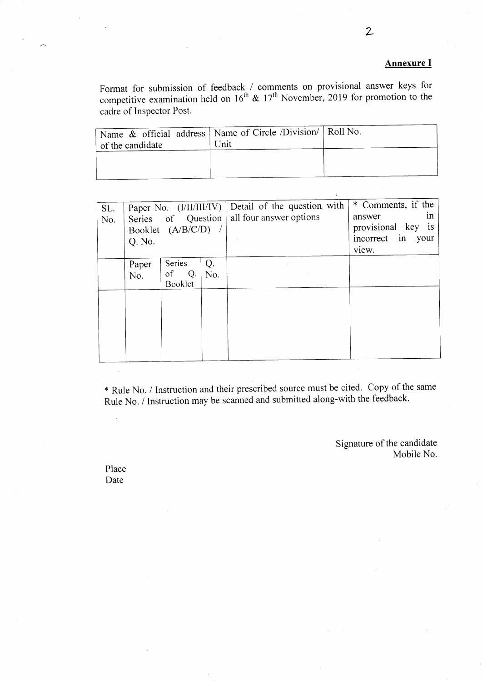## Annexure I

Format for submission of feedback / comments on provisional answer keys for competitive examination held on  $16^{th}$  &  $17^{th}$  November, 2019 for promotion to the cadre of Inspector Post.

| Name & official address   Name of Circle / Division/ $\overline{R}$ Roll No.<br>of the candidate | Unit |  |
|--------------------------------------------------------------------------------------------------|------|--|
|                                                                                                  |      |  |

| SL.<br>No. | Q. No.       | Series of Question<br>Booklet (A/B/C/D) / |           | Paper No. (I/II/III/IV) Detail of the question with<br>all four answer options | * Comments, if the<br>1n<br>answer<br>provisional key is<br>incorrect in<br>your<br>view. |
|------------|--------------|-------------------------------------------|-----------|--------------------------------------------------------------------------------|-------------------------------------------------------------------------------------------|
|            | Paper<br>No. | Series<br><sub>of</sub><br>Q.<br>Booklet  | Q.<br>No. |                                                                                |                                                                                           |
|            |              |                                           |           |                                                                                |                                                                                           |

\* Rule No. / Instruction and their prescribed source must be cited. copy of the same Rule No. / Instruction may be scanned and submitted along-with the feedback.

> Signature of the candidate Mobile No.

Place Date

 $\ddot{\phantom{a}}$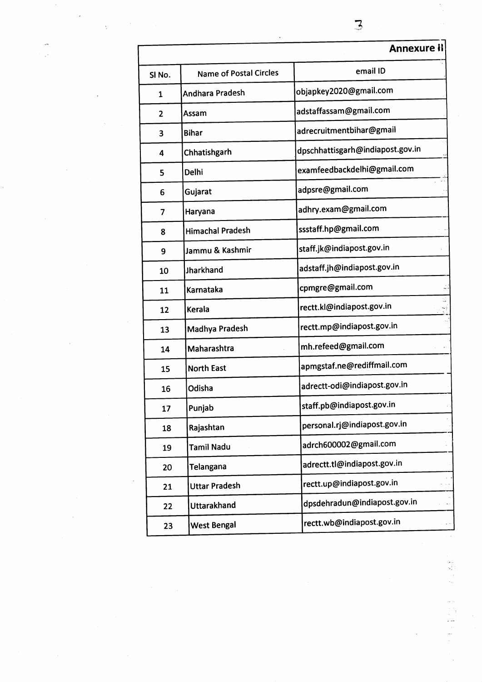|                   |                               | <b>Annexure il</b>               |
|-------------------|-------------------------------|----------------------------------|
| SI <sub>No.</sub> | <b>Name of Postal Circles</b> | email ID                         |
| 1                 | Andhara Pradesh               | objapkey2020@gmail.com           |
| $\mathbf{2}$      | Assam                         | adstaffassam@gmail.com           |
| 3                 | <b>Bihar</b>                  | adrecruitmentbihar@gmail         |
| 4                 | Chhatishgarh                  | dpschhattisgarh@indiapost.gov.in |
| 5                 | Delhi                         | examfeedbackdelhi@gmail.com      |
| 6                 | Gujarat                       | adpsre@gmail.com                 |
| 7                 | Haryana                       | adhry.exam@gmail.com             |
| 8                 | <b>Himachal Pradesh</b>       | ssstaff.hp@gmail.com             |
| 9                 | Jammu & Kashmir               | staff.jk@indiapost.gov.in        |
| 10                | Jharkhand                     | adstaff.jh@indiapost.gov.in      |
| 11                | Karnataka                     | cpmgre@gmail.com                 |
| 12                | Kerala                        | rectt.kl@indiapost.gov.in        |
| 13                | Madhya Pradesh                | rectt.mp@indiapost.gov.in        |
| 14                | Maharashtra                   | mh.refeed@gmail.com              |
| 15                | <b>North East</b>             | apmgstaf.ne@rediffmail.com       |
| 16                | Odisha                        | adrectt-odi@indiapost.gov.in     |
| 17                | Punjab                        | staff.pb@indiapost.gov.in        |
| 18                | Rajashtan                     | personal.rj@indiapost.gov.in     |
| 19                | <b>Tamil Nadu</b>             | adrch600002@gmail.com            |
| 20                | <b>Telangana</b>              | adrectt.tl@indiapost.gov.in      |
| 21                | <b>Uttar Pradesh</b>          | rectt.up@indiapost.gov.in        |
| 22                | Uttarakhand                   | dpsdehradun@indiapost.gov.in     |
| 23                | <b>West Bengal</b>            | rectt.wb@indiapost.gov.in        |
|                   |                               |                                  |

-1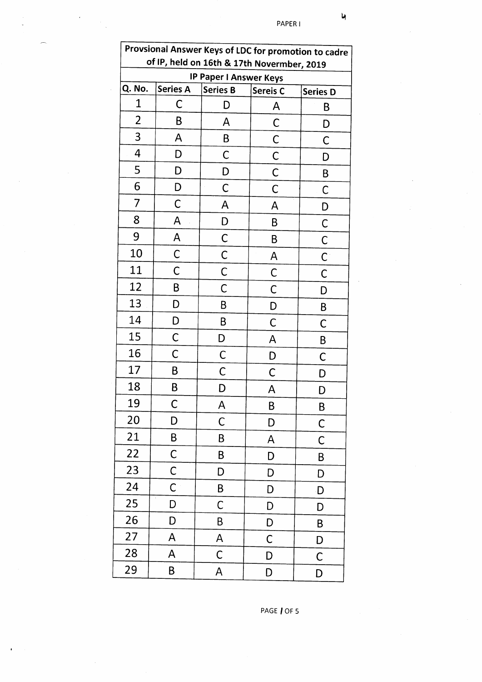| Provsional Answer Keys of LDC for promotion to cadre<br>of IP, held on 16th & 17th Novermber, 2019 |                 |                               |                     |                 |
|----------------------------------------------------------------------------------------------------|-----------------|-------------------------------|---------------------|-----------------|
|                                                                                                    |                 | <b>IP Paper I Answer Keys</b> |                     |                 |
| Q. No.                                                                                             | <b>Series A</b> | <b>Series B</b>               | Sereis <sub>C</sub> | <b>Series D</b> |
| 1                                                                                                  | С               | D                             | A                   | В               |
| $\overline{2}$                                                                                     | В               | A                             | С                   | D               |
| 3                                                                                                  | Α               | B                             | C                   | С               |
| $\overline{4}$                                                                                     | D               | С                             | C                   | I)              |
| 5                                                                                                  | D               | D                             | C                   | B               |
| 6                                                                                                  | D               | C                             | C                   | С               |
| 7                                                                                                  | $\mathsf C$     | A                             | Α                   | D               |
| 8                                                                                                  | A               | D                             | B                   | $\mathsf C$     |
| 9                                                                                                  | A               | C                             | Β                   | $\overline{C}$  |
| 10                                                                                                 | C               | C                             | A                   | $\mathsf C$     |
| 11                                                                                                 | C               | $\mathsf C$                   | $\mathsf C$         | $\mathsf C$     |
| 12                                                                                                 | B               | C                             | $\mathsf C$         | D               |
| 13                                                                                                 | D               | B                             | D                   | B               |
| 14                                                                                                 | D               | B                             | $\mathsf C$         | $\mathsf C$     |
| 15                                                                                                 | C               | D                             | A                   | B               |
| 16                                                                                                 | C               | $\mathsf{C}$                  | D                   | C               |
| 17                                                                                                 | В               | C                             | С                   | D               |
| 18                                                                                                 | B               | D                             | A                   | D               |
| 19                                                                                                 | C               | A                             | B                   | B               |
| 20                                                                                                 | D               | $\mathsf C$                   | D                   | $\mathsf C$     |
| 21                                                                                                 | B               | B                             | A                   | C               |
| 22                                                                                                 | $\mathsf C$     | B                             | D                   | B               |
| 23                                                                                                 | C               | D                             | D                   | D               |
| 24                                                                                                 | $\mathsf C$     | B                             | D                   | D               |
| 25                                                                                                 | D               | $\mathsf C$                   | D                   | D               |
| 26                                                                                                 | D               | B                             | D                   | B               |
| 27                                                                                                 | A               | $\mathsf{A}$                  | $\mathsf C$         | D               |
| 28                                                                                                 | A               | $\mathsf C$                   | D                   | C               |
| 29                                                                                                 | B               | A                             | D                   | D               |

 $\mathbf{u}$ 

PAGE | OF 5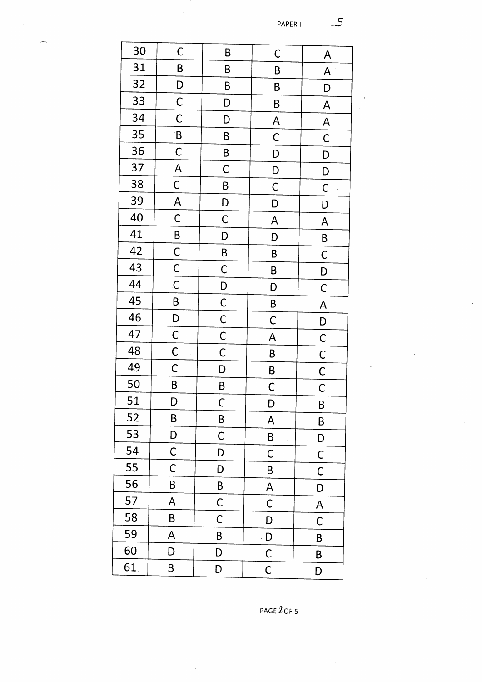| 30 | $\mathsf C$             | B              | $\mathsf C$    | A                       |
|----|-------------------------|----------------|----------------|-------------------------|
| 31 | B                       | B              | B              | A                       |
| 32 | D                       | B              | $\sf B$        | D                       |
| 33 | $\mathsf{C}$            | D              | B              | A                       |
| 34 | $\mathsf{C}$            | D              | A              | $\overline{\mathsf{A}}$ |
| 35 | B                       | B              | $\mathsf C$    | $\mathsf{C}$            |
| 36 | $\mathsf C$             | B              | D              | D                       |
| 37 | $\overline{\mathsf{A}}$ | $\mathsf C$    | D              | D                       |
| 38 | $\mathsf{C}$            | B              | $\mathsf C$    | $\overline{C}$          |
| 39 | $\overline{\mathsf{A}}$ | D              | D              | D                       |
| 40 | $\mathsf{C}$            | $\overline{C}$ | $\mathsf{A}$   | A                       |
| 41 | $\mathsf{B}$            | D              | D              | B                       |
| 42 | $\mathsf C$             | B              | B              | $\mathsf C$             |
| 43 | $\mathsf{C}$            | $\mathsf C$    | B              | D                       |
| 44 | $\mathsf C$             | D              | D              | $\mathsf C$             |
| 45 | B                       | $\mathsf{C}$   | $\overline{B}$ | $\overline{\mathsf{A}}$ |
| 46 | D                       | $\mathsf{C}$   | $\mathsf C$    | D                       |
| 47 | $\mathsf C$             | $\mathsf{C}$   | A              | $\overline{C}$          |
| 48 | $\mathsf{C}$            | $\mathsf{C}$   | B              | $\mathsf{C}$            |
| 49 | $\mathsf C$             | D              | B              |                         |
| 50 | B                       | $\overline{B}$ | $\mathsf{C}$   | $rac{C}{C}$             |
| 51 | D                       | $\overline{C}$ | D              | B                       |
| 52 | B                       | B              | A              | B                       |
| 53 | D                       | $\mathsf C$    | B              | D                       |
| 54 | $\mathsf C$             | D              | $\mathsf C$    | C                       |
| 55 | $\mathsf C$             | D              | B              | $\mathsf C$             |
| 56 | B                       | B              | A              | D                       |
| 57 | A                       | $\mathsf C$    | $\mathsf C$    | A                       |
| 58 | Β                       | $\mathsf C$    | D              | $\mathsf C$             |
| 59 | A                       | B              | D              | B                       |
| 60 | D                       | D              | $\mathsf C$    | B                       |
| 61 | B                       | D              | C              | D                       |

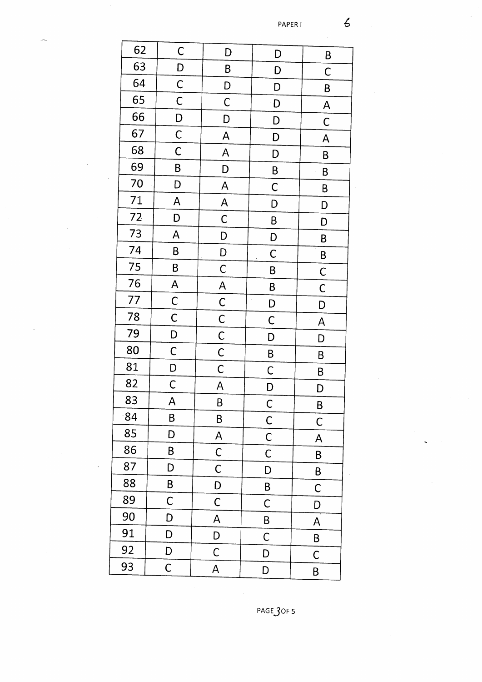| 62 | $\mathsf C$             | D                       | D              | B                       |  |
|----|-------------------------|-------------------------|----------------|-------------------------|--|
| 63 | D                       | B                       | D              | $\mathsf C$             |  |
| 64 | $\mathsf C$             | D                       | D              | B                       |  |
| 65 | $\mathsf C$             | $\mathsf C$             | D              | $\overline{\mathsf{A}}$ |  |
| 66 | D                       | D                       | D              | $\mathsf{C}$            |  |
| 67 | $\mathsf C$             | A                       | D              | $\overline{\mathsf{A}}$ |  |
| 68 | $\mathsf{C}$            | A                       | D              | B                       |  |
| 69 | B                       | D                       | B              | B                       |  |
| 70 | D                       | A                       | $\mathsf C$    | B                       |  |
| 71 | A                       | $\overline{\mathsf{A}}$ | D              | D                       |  |
| 72 | D                       | $\mathsf{C}$            | B              | D                       |  |
| 73 | A                       | D                       | D              | B                       |  |
| 74 | B                       | D                       | $\mathsf C$    | B                       |  |
| 75 | B                       | $\mathsf C$             | B              | $\mathsf C$             |  |
| 76 | $\overline{\mathsf{A}}$ | $\mathsf{A}$            | B              | $\mathsf C$             |  |
| 77 | $\mathsf{C}$            | $\mathsf{C}$            | D              | D                       |  |
| 78 | $\mathsf C$             | $\mathsf{C}$            | $\mathsf C$    | A                       |  |
| 79 | D                       | $\overline{C}$          | D              | D                       |  |
| 80 | $\mathsf C$             | $\overline{C}$          | $\overline{B}$ | B                       |  |
| 81 | D                       | $\mathsf C$             | $\mathsf{C}$   | B                       |  |
| 82 | $\mathsf{C}$            | A                       | D              | D                       |  |
| 83 | A                       | B                       | $\mathsf{C}$   | B                       |  |
| 84 | B                       | $\sf B$                 | $\mathsf C$    | $\mathsf{C}$            |  |
| 85 | D                       | A                       | $\mathsf C$    | A                       |  |
| 86 | B                       | $\mathsf{C}$            | $\mathsf C$    | B                       |  |
| 87 | D                       | $\mathsf C$             | D              | B                       |  |
| 88 | B                       | D                       | Β              | $\mathsf C$             |  |
| 89 | $\mathsf C$             | $\mathsf C$             | C              | D                       |  |
| 90 | D                       | A                       | B              | $\mathsf{A}$            |  |
| 91 | D                       | D                       | $\mathsf C$    | B                       |  |
| 92 | D                       | C                       | D              | C                       |  |
| 93 | $\mathsf C$             | A                       | D              | B                       |  |
|    |                         |                         |                |                         |  |

PAGE 3OF 5

 $\epsilon$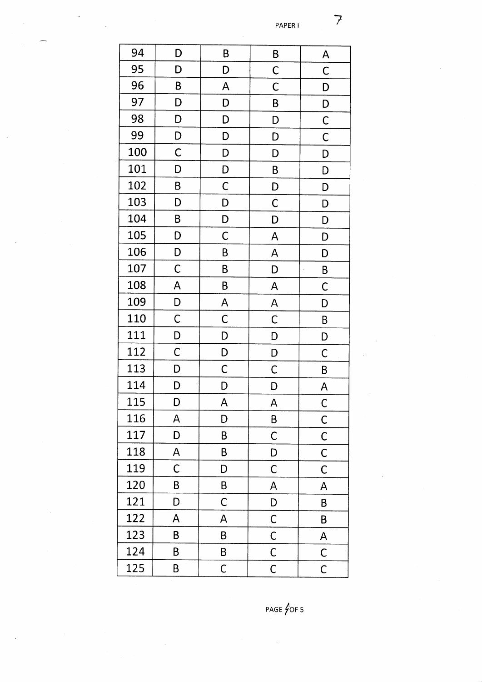$\overline{z}$ 

| 94  | D            | B              | B              | A                       |
|-----|--------------|----------------|----------------|-------------------------|
| 95  | D            | D              | $\mathsf{C}$   | C                       |
| 96  | B            | A              | $\mathsf C$    | D                       |
| 97  | D            | D              | B              | D                       |
| 98  | D            | D              | D              | $\mathsf C$             |
| 99  | D            | D              | D              | $\mathsf C$             |
| 100 | $\mathsf C$  | D              | D              | D                       |
| 101 | D            | D              | B              | D                       |
| 102 | B            | $\mathsf C$    | D              | D                       |
| 103 | D            | D              | $\overline{C}$ | D                       |
| 104 | B            | D              | D              | D                       |
| 105 | D            | $\overline{C}$ | A              | D                       |
| 106 | D            | B              | A              | D                       |
| 107 | $\mathsf C$  | B              | D              | B                       |
| 108 | A            | B              | A              | C                       |
| 109 | D            | A              | A              | D                       |
| 110 | $\mathsf C$  | $\mathsf C$    | $\mathsf C$    | B                       |
| 111 | D            | D              | D              | D                       |
| 112 | $\mathsf C$  | D              | D              | $\mathsf C$             |
| 113 | D            | $\mathsf C$    | $\mathsf C$    | B                       |
| 114 | $\mathsf{D}$ | D              | $\mathsf{D}$   | $\mathsf{A}$            |
| 115 | D            | A              | A              | $\mathsf C$             |
| 116 | A            | D              | B              | $\mathsf C$             |
| 117 | D            | B              | C              | $\mathsf C$             |
| 118 | A            | B              | D              | $\mathsf C$             |
| 119 | C            | D              | $\mathsf C$    | $\mathsf C$             |
| 120 | B            | B              | A              | A                       |
| 121 | D            | C              | D              | B                       |
| 122 | A            | A              | $\mathsf C$    | B                       |
| 123 | B            | B              | $\mathsf C$    | A                       |
| 124 | B            | B              | $\overline{C}$ | $\mathsf C$             |
| 125 | B            | $\mathsf C$    | $\overline{C}$ | $\overline{\mathsf{C}}$ |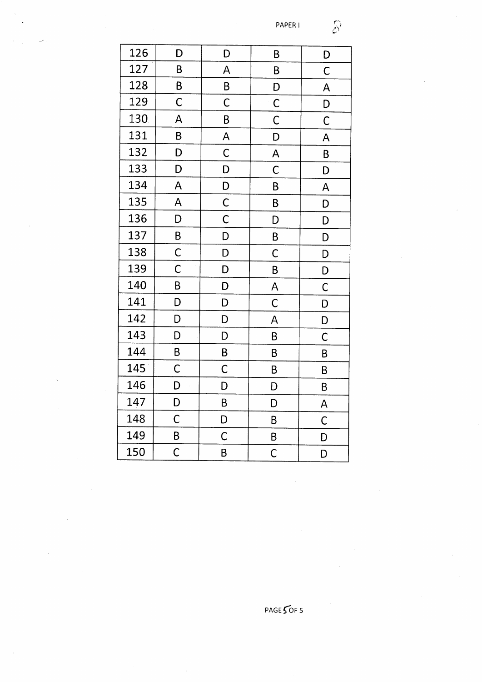$\hat{\mathcal{S}}$ 

| 126 | D                       | D                         | B                                  | D                       |
|-----|-------------------------|---------------------------|------------------------------------|-------------------------|
| 127 | B                       | A                         | B                                  | $\mathsf{C}$            |
| 128 | B                       | $\overline{B}$            | $\overline{D}$                     | $\overline{\mathsf{A}}$ |
| 129 | $\mathsf C$             | $\overline{\mathsf{C}}$   | $\overline{C}$                     | D                       |
| 130 | A                       | B                         | $\overline{\overline{C}}$          | $\overline{C}$          |
| 131 | B                       | A                         | D                                  | A                       |
| 132 | D                       | $\mathsf{C}$              | $\overline{A}$                     | B                       |
| 133 | D                       | D                         | $\mathsf C$                        | D                       |
| 134 | A                       | $\overline{D}$            | B                                  | $\overline{\mathsf{A}}$ |
| 135 | A                       | $\overline{C}$            | B                                  | D                       |
| 136 | D                       | $\overline{\overline{C}}$ | D                                  | D                       |
| 137 | $\mathsf B$             | D                         | $\overline{B}$                     | D                       |
| 138 | $\mathsf{C}$            | D                         | $\mathsf C$                        | D                       |
| 139 | $\overline{\mathsf{C}}$ | D                         | B                                  | D                       |
| 140 | B                       | D                         | $\overline{\mathsf{A}}$            | $\mathsf{C}$            |
| 141 | D                       | D                         | $\mathsf{C}$                       | D                       |
| 142 | D                       | D                         | A                                  | D                       |
| 143 | D                       | D                         | B                                  | $\overline{C}$          |
| 144 | B                       | $\overline{\mathsf{B}}$   | B                                  | B                       |
| 145 | $\mathsf C$             | $\mathsf{C}$              | B                                  | B                       |
| 146 | D                       | D                         | D                                  | B                       |
| 147 | D                       | B                         | D                                  | $\overline{\mathsf{A}}$ |
| 148 | $\mathsf C$             | D                         | B                                  | $\mathsf{C}$            |
| 149 | B                       | $\overline{C}$            | $\mathsf B$                        | D                       |
| 150 | $\overline{C}$          | B                         | $\overline{\overline{\mathsf{C}}}$ | D                       |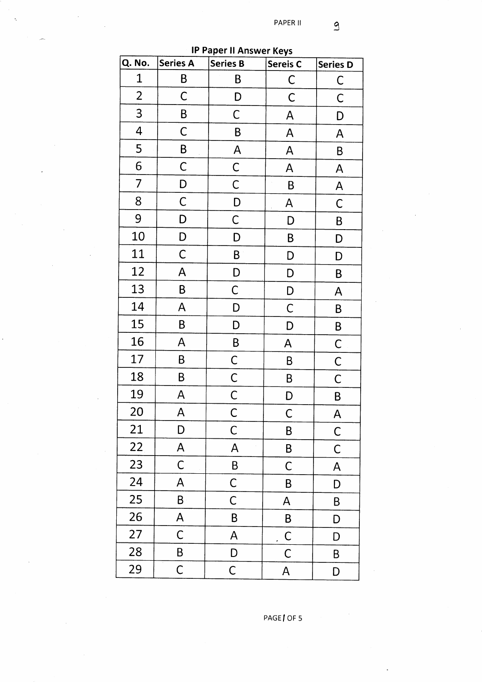PAPER II

| <b>IP Paper II Answer Keys</b> |                 |                         |                     |                 |  |
|--------------------------------|-----------------|-------------------------|---------------------|-----------------|--|
| Q. No.                         | <b>Series A</b> | <b>Series B</b>         | Sereis <sub>C</sub> | <b>Series D</b> |  |
| $\mathbf 1$                    | B               | B                       | C                   | $\mathsf C$     |  |
| $\overline{2}$                 | $\mathsf C$     | D                       | $\mathsf C$         | $\mathsf C$     |  |
| 3                              | B               | C                       | A                   | D               |  |
| 4                              | $\mathsf C$     | B                       | A                   | A               |  |
| 5                              | B               | A                       | A                   | B               |  |
| 6                              | $\mathsf C$     | $\mathsf C$             | A                   | $\overline{A}$  |  |
| 7                              | D               | $\mathsf C$             | B                   | A               |  |
| 8                              | $\mathsf C$     | D                       | A                   | $\mathsf C$     |  |
| 9                              | D               | $\mathsf C$             | D                   | $\pmb B$        |  |
| 10                             | D               | D                       | B                   | D               |  |
| 11                             | $\mathsf C$     | B                       | D                   | D               |  |
| 12                             | A               | D                       | D                   | B               |  |
| 13                             | B               | $\overline{C}$          | D                   | A               |  |
| 14                             | A               | D                       | $\mathsf C$         | B               |  |
| 15                             | B               | D                       | D                   | $\sf B$         |  |
| 16                             | A               | B                       | A                   | $\mathsf C$     |  |
| 17                             | B               | $\mathsf{C}$            | B                   | $\mathsf C$     |  |
| 18                             | B               | $\mathsf C$             | B                   | $\mathsf C$     |  |
| 19                             | A               | $\overline{\mathsf{C}}$ | D                   | B               |  |
| 20                             | A               | C                       | С                   | A               |  |
| 21                             | D               | $\mathsf C$             | B                   | $\mathsf C$     |  |
| 22                             | A               | A                       | B                   | С               |  |
| 23                             | $\mathsf C$     | $\pmb{\mathsf{B}}$      | $\mathsf C$         | Ą               |  |
| 24                             | A               | $\mathsf C$             | B                   | D               |  |
| 25                             | B               | C                       | A                   | B               |  |
| 26                             | A               | $\sf B$                 | B                   | D               |  |
| 27                             | C               | A                       | $\mathsf{C}$        | D               |  |
| 28                             | B               | D                       | $\mathsf C$         | B               |  |
| 29                             | $\mathsf C$     | $\mathsf C$             | A                   | D               |  |

PAGE | OF 5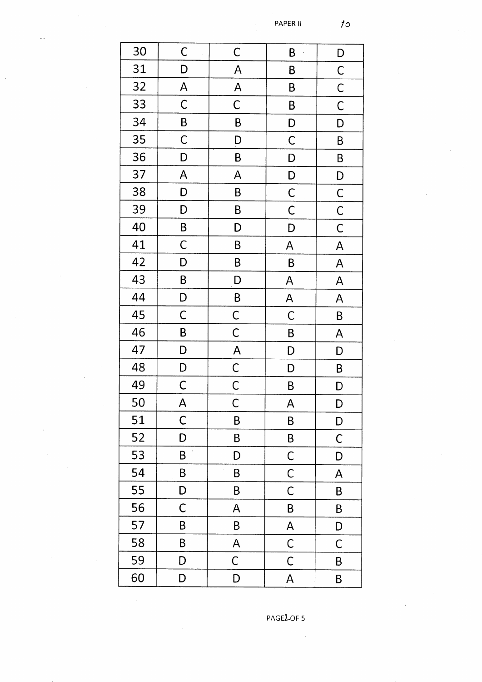PAPER II

 $\bar{\beta}$ 

 $10<sub>o</sub>$ 

| 30 | $\mathsf C$      | $\mathsf{C}$            | B                       | D                         |
|----|------------------|-------------------------|-------------------------|---------------------------|
| 31 | D                | $\overline{\mathsf{A}}$ | $\pmb B$                | $\mathsf{C}$              |
| 32 | $\mathsf{A}$     | $\overline{\mathsf{A}}$ | B                       | $\overline{C}$            |
| 33 | $\mathsf{C}$     | $\mathsf C$             | B                       | $\mathsf{C}$              |
| 34 | B                | B                       | $\mathsf{D}$            | D                         |
| 35 | $\mathsf C$      | $\overline{D}$          | $\mathsf{C}$            | $\pmb B$                  |
| 36 | D                | B                       | D                       | B                         |
| 37 | $\mathsf{A}$     | A                       | D                       | D                         |
| 38 | D                | B                       | $\mathsf{C}$            | $\mathsf{C}$              |
| 39 | D                | B                       | $\mathsf C$             | $\mathsf C$               |
| 40 | $\boldsymbol{B}$ | D                       | D                       | $\mathsf C$               |
| 41 | $\mathsf C$      | B                       | $\overline{\mathsf{A}}$ | $\boldsymbol{\mathsf{A}}$ |
| 42 | D                | B                       | B                       | $\boldsymbol{\mathsf{A}}$ |
| 43 | B                | D                       | $\mathsf{A}$            | $\mathsf{A}$              |
| 44 | D                | B                       | $\overline{\mathsf{A}}$ | A                         |
| 45 | $\mathsf C$      | $\mathsf{C}$            | $\mathsf C$             | B                         |
| 46 | $\sf B$          | $\mathsf{C}$            | B                       | A                         |
| 47 | D                | $\overline{\mathsf{A}}$ | D                       | D                         |
| 48 | D                | $\mathsf{C}$            | D                       | B                         |
| 49 | $\mathsf{C}$     | $\mathsf{C}$            | B                       | D                         |
| 50 | A                | $\mathsf{C}$            | A                       | D                         |
| 51 | $\mathsf C$      | B                       | B                       | D                         |
| 52 | D                | B                       | B                       | $\mathsf C$               |
| 53 | $\pmb B$         | D                       | C                       | D                         |
| 54 | B                | B                       | $\overline{C}$          | A                         |
| 55 | D                | B                       | $\mathsf C$             | B                         |
| 56 | $\mathsf C$      | A                       | B                       | $\sf B$                   |
| 57 | B                | B                       | A                       | D                         |
| 58 | B                | A                       | $\mathsf{C}$            | $\mathsf C$               |
| 59 | D                | C                       | $\mathsf C$             | B                         |
| 60 | D                | D                       | A                       | B                         |

PAGELOF 5

 $\hat{\boldsymbol{\gamma}}$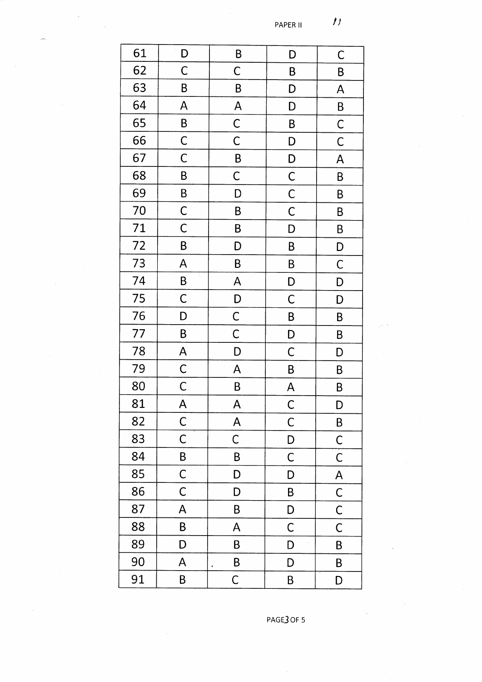$\hat{\boldsymbol{J}}$ PAPER II

| 61 | D                         | B                       | D                       | $\mathsf C$             |
|----|---------------------------|-------------------------|-------------------------|-------------------------|
| 62 | $\mathsf C$               | $\mathsf C$             | B                       | B                       |
| 63 | B                         | B                       | D                       | A                       |
| 64 | A                         | $\overline{\mathsf{A}}$ | D                       | B                       |
| 65 | B                         | $\mathsf{C}$            | B                       | $\mathsf{C}$            |
| 66 | $\mathsf{C}$              | $\overline{\mathsf{C}}$ | D                       | $\mathsf{C}$            |
| 67 | $\overline{C}$            | B                       | D                       | $\overline{\mathsf{A}}$ |
| 68 | B                         | $\mathsf{C}$            | $\mathsf{C}$            | B                       |
| 69 | B                         | D                       | $\overline{C}$          | B                       |
| 70 | $\mathsf{C}$              | B                       | $\overline{C}$          | B                       |
| 71 | $\mathsf{C}$              | B                       | D                       | $\mathsf B$             |
| 72 | B                         | D                       | B                       | D                       |
| 73 | $\mathsf{A}$              | B                       | B                       | $\mathsf C$             |
| 74 | $\mathsf{B}$              | $\mathsf{A}$            | D                       | D                       |
| 75 | $\mathsf C$               | D                       | $\mathsf C$             | D                       |
| 76 | D                         | $\mathsf{C}$            | $\mathsf{B}$            | $\pmb B$                |
| 77 | B                         | $\overline{C}$          | D                       | B                       |
| 78 | $\mathsf{A}$              | D                       | $\mathsf C$             | D                       |
| 79 | $\mathsf{C}$              | $\overline{\mathsf{A}}$ | B                       | B                       |
| 80 | $\mathsf{C}$              | B                       | $\overline{\mathsf{A}}$ | B                       |
| 81 | A                         | A                       | $\mathsf C$             | $\mathsf D$             |
| 82 | $\mathsf{C}$              | $\mathsf{A}$            | $\mathsf C$             | B                       |
| 83 | $\mathsf C$               | $\mathsf C$             | D                       | $\mathsf C$             |
| 84 | B                         | B                       | $\mathsf C$             | $\mathsf C$             |
| 85 | $\mathsf C$               | D                       | D                       | A                       |
| 86 | $\mathsf C$               | D                       | B                       | $\mathsf{C}$            |
| 87 | A                         | B                       | D                       | $\mathsf C$             |
| 88 | B                         | A                       | C                       | $\mathsf C$             |
| 89 | D                         | B                       | D                       | B                       |
| 90 | $\boldsymbol{\mathsf{A}}$ | B                       | D                       | B                       |
| 91 | $\sf B$                   | $\mathsf C$             | B                       | D                       |

PAGE3 OF 5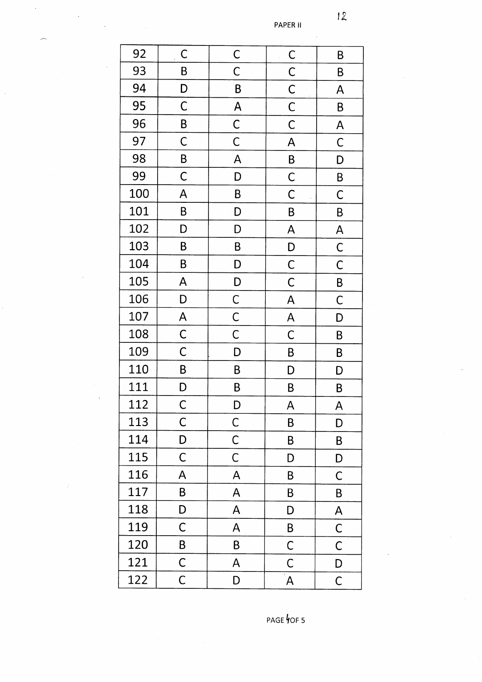PAPER II

| 92  | $\mathsf{C}$   | $\mathsf{C}$              | $\overline{C}$          | B                       |
|-----|----------------|---------------------------|-------------------------|-------------------------|
| 93  | B              | $\mathsf C$               | $\mathsf{C}$            | B                       |
| 94  | D              | B                         | $\mathsf{C}$            | A                       |
| 95  | $\overline{C}$ | $\overline{\mathsf{A}}$   | $\mathsf{C}$            | B                       |
| 96  | B              | $\overline{C}$            | $\mathsf C$             | $\overline{\mathsf{A}}$ |
| 97  | $\mathsf C$    | $\overline{\overline{C}}$ | A                       | $\mathsf{C}$            |
| 98  | $\mathsf B$    | A                         | B                       | D                       |
| 99  | $\mathsf C$    | D                         | $\mathsf C$             | $\mathsf B$             |
| 100 | A              | B                         | $\mathsf C$             | $\mathsf C$             |
| 101 | B              | D                         | B                       | B                       |
| 102 | D              | D                         | $\overline{\mathsf{A}}$ | $\mathsf{A}$            |
| 103 | B              | B                         | D                       | $\mathsf C$             |
| 104 | $\pmb B$       | D                         | $\mathsf{C}$            | $\mathsf{C}$            |
| 105 | $\mathsf{A}$   | D                         | $\mathsf C$             | $\sf B$                 |
| 106 | D              | $\overline{C}$            | A                       | $\mathsf C$             |
| 107 | A              | $\overline{C}$            | $\overline{\mathsf{A}}$ | D                       |
| 108 | $\mathsf C$    | $\overline{C}$            | $\overline{C}$          | $\sf B$                 |
| 109 | $\mathsf C$    | D                         | B                       | B                       |
| 110 | B              | B                         | D                       | D                       |
| 111 | D              | B                         | B                       | B                       |
| 112 | $\mathsf C$    | D                         | A                       | A                       |
| 113 | $\mathsf C$    | $\mathsf C$               | B                       | D                       |
| 114 | D              | $\mathsf C$               | B                       | B                       |
| 115 | $\mathsf C$    | $\mathsf C$               | D                       | D                       |
| 116 | A              | A                         | B                       | $\mathsf C$             |
| 117 | B              | A                         | B                       | B                       |
| 118 | D              | A                         | D                       | A                       |
| 119 | $\mathsf C$    | A                         | B                       | $\mathsf C$             |
| 120 | B              | B                         | $\mathsf C$             | $\mathsf C$             |
| 121 | $\mathsf C$    | A                         | $\mathsf C$             | D                       |
| 122 | $\mathsf C$    | D                         | $\mathbf{A}$            | $\mathsf C$             |

PAGE OF 5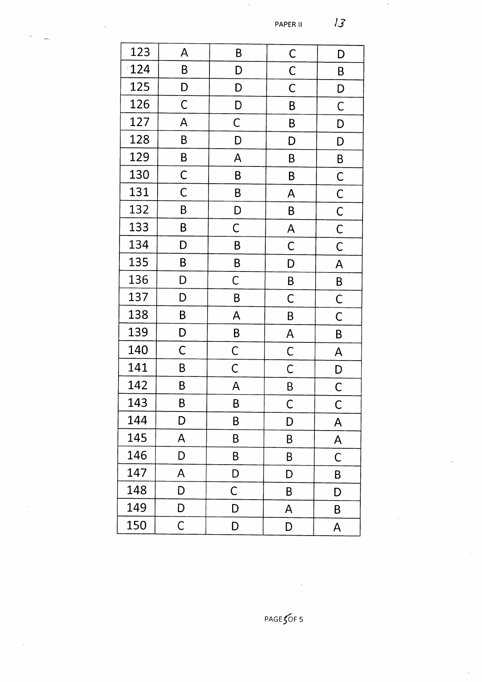PAPER II

| 123 | A              | B            | $\mathsf{C}$            | D                       |
|-----|----------------|--------------|-------------------------|-------------------------|
| 124 | B              | D            | $\mathsf C$             | B                       |
| 125 | D              | D            | $\mathsf C$             | D                       |
| 126 | $\mathsf C$    | D            | B                       | $\mathsf{C}$            |
| 127 | A              | $\mathsf C$  | B                       | D                       |
| 128 | B              | D            | D                       | D                       |
| 129 | B              | A            | B                       | B                       |
| 130 | $\mathsf{C}$   | B            | B                       | $\mathsf{C}$            |
| 131 | $\overline{C}$ | B            | A                       | $\overline{C}$          |
| 132 | B              | D            | B                       | $\overline{C}$          |
| 133 | B              | $\mathsf C$  | A                       | $\mathsf C$             |
| 134 | D              | B            | $\mathsf C$             | $\mathsf C$             |
| 135 | B              | B            | D                       | $\overline{\mathsf{A}}$ |
| 136 | D              | $\mathsf C$  | B                       | $\mathsf B$             |
| 137 | D              | B            | C                       | $\mathsf C$             |
| 138 | $\sf B$        | A            | B                       | $\mathsf C$             |
| 139 | D              | $\sf B$      | $\overline{\mathsf{A}}$ | B                       |
| 140 | $\mathsf C$    | $\mathsf{C}$ | $\mathsf C$             | A                       |
| 141 | B              | $\mathsf{C}$ | $\mathsf C$             | D                       |
| 142 | B              | A            | B                       | $\mathsf C$             |
| 143 | B              | B            | $\mathsf{C}$            | $\mathsf{C}$            |
| 144 | D              | B            | D                       | A                       |
| 145 | A              | B            | B                       | $\mathsf{A}$            |
| 146 | D              | B            | B                       | C                       |
| 147 | A              | D            | D                       | B                       |
| 148 | D              | $\mathsf C$  | B                       | D                       |
| 149 | D              | D            | A                       | B                       |
| 150 | $\mathsf C$    | D            | D                       | A                       |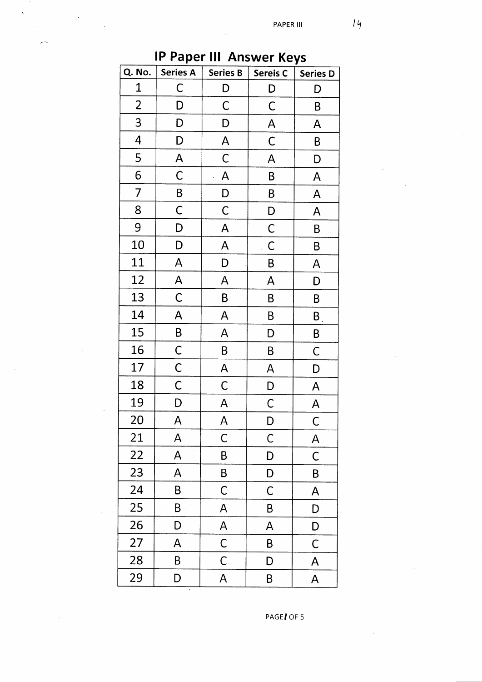| ir Paper III. Answer Keys |                         |                           |                 |                 |  |
|---------------------------|-------------------------|---------------------------|-----------------|-----------------|--|
| Q. No.                    | <b>Series A</b>         | <b>Series B</b>           | <b>Sereis C</b> | <b>Series D</b> |  |
| $\mathbf{1}$              | C                       | D                         | D               | D               |  |
| $\overline{2}$            | D                       | $\mathsf{C}$              | $\mathsf C$     | B               |  |
| 3                         | D                       | D                         | A               | A               |  |
| 4                         | D                       | $\boldsymbol{\mathsf{A}}$ | C               | Β               |  |
| 5                         | A                       | $\mathsf{C}$              | A               | D               |  |
| 6                         | $\mathsf C$             | A                         | B               | A               |  |
| $\overline{7}$            | B                       | D                         | B               | A               |  |
| 8                         | $\mathsf C$             | $\mathsf C$               | D               | A               |  |
| 9                         | D                       | A                         | $\mathsf C$     | B               |  |
| 10                        | D                       | A                         | $\mathsf C$     | B               |  |
| 11                        | A                       | D                         | B               | A               |  |
| 12                        | $\overline{\mathsf{A}}$ | A                         | A               | D               |  |
| 13                        | $\mathsf{C}$            | B                         | B               | B               |  |
| 14                        | A                       | A                         | B               | $\mathsf B_1$   |  |
| 15                        | $\sf B$                 | A                         | D               | B               |  |
| 16                        | $\mathsf{C}$            | B                         | B               | C               |  |
| 17                        | $\mathsf{C}$            | A                         | A               | D               |  |
| 18                        | $\mathsf C$             | $\mathsf C$               | D               | A               |  |
| 19                        | D                       | A                         | $\mathsf C$     | A               |  |
| 20                        | A                       | A                         | D               | $\mathsf C$     |  |
| 21                        | A                       | $\mathsf C$               | C               | A               |  |
| 22                        | A                       | B                         | D               | $\mathsf C$     |  |
| 23                        | A                       | B                         | D               | B               |  |
| 24                        | $\sf B$                 | C                         | С               | A               |  |
| 25                        | B                       | A                         | B               | D               |  |
| 26                        | D                       | A                         | A               | D               |  |
| 27                        | A                       | $\mathsf C$               | B               | $\mathsf C$     |  |
| 28                        | B                       | $\mathsf C$               | D               | A               |  |
| 29                        | D                       | A                         | B               | A               |  |

PAGE / OF 5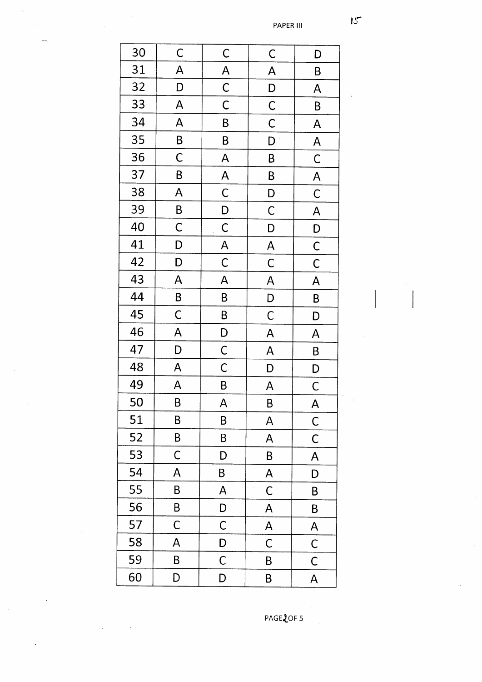| 30 | $\mathsf C$    | $\mathsf{C}$            | $\mathsf C$             | D                       |
|----|----------------|-------------------------|-------------------------|-------------------------|
| 31 | A              | $\overline{A}$          | A                       | B                       |
| 32 | D              | $\overline{C}$          | D                       | $\mathsf{A}$            |
| 33 | A              | $\mathsf{C}$            | $\overline{C}$          | B                       |
| 34 | A              | B                       | $\mathsf{C}$            | A                       |
| 35 | $\mathsf{B}$   | B                       | D                       | $\overline{\mathsf{A}}$ |
| 36 | $\overline{C}$ | $\overline{\mathsf{A}}$ | B                       | $\mathsf{C}$            |
| 37 | B              | $\overline{\mathsf{A}}$ | B                       | $\overline{\mathsf{A}}$ |
| 38 | A              | $\mathsf{C}$            | D                       | $\mathsf{C}$            |
| 39 | $\mathsf B$    | D                       | $\mathsf{C}$            | $\overline{\mathsf{A}}$ |
| 40 | $\mathsf{C}$   | $\mathsf{C}$            | D                       | D                       |
| 41 | D              | $\overline{\mathsf{A}}$ | $\overline{\mathsf{A}}$ | $\mathsf{C}$            |
| 42 | D              | $\mathsf{C}$            | $\overline{C}$          | $\mathsf C$             |
| 43 | A              | A                       | $\overline{\mathsf{A}}$ | $\overline{\mathsf{A}}$ |
| 44 | $\overline{B}$ | B                       | D                       | B                       |
| 45 | $\mathsf{C}$   | B                       | $\mathsf C$             | D                       |
| 46 | A              | D                       | A                       | $\overline{\mathsf{A}}$ |
| 47 | D              | $\mathsf{C}$            | $\overline{\mathsf{A}}$ | B                       |
| 48 | A              | $\mathsf C$             | D                       | D                       |
| 49 | $\mathsf{A}$   | B                       | $\overline{\mathsf{A}}$ | $\mathsf C$             |
| 50 | B              | A                       | B                       | A                       |
| 51 | B              | B                       | A                       | $\mathsf{C}$            |
| 52 | B              | B                       | A                       | C                       |
| 53 | $\mathsf C$    | D                       | B                       | A                       |
| 54 | A              | B                       | $\overline{\mathsf{A}}$ | D                       |
| 55 | B              | A                       | C                       | B                       |
| 56 | B              | D                       | A                       | B                       |
| 57 | $\mathsf C$    | $\mathsf C$             | A                       | A                       |
| 58 | A              | D                       | C                       | $\mathsf{C}$            |
| 59 | B              | $\mathsf C$             | B                       | $\mathsf C$             |
| 60 | D              | D                       | B                       | A                       |

PAGE2OF 5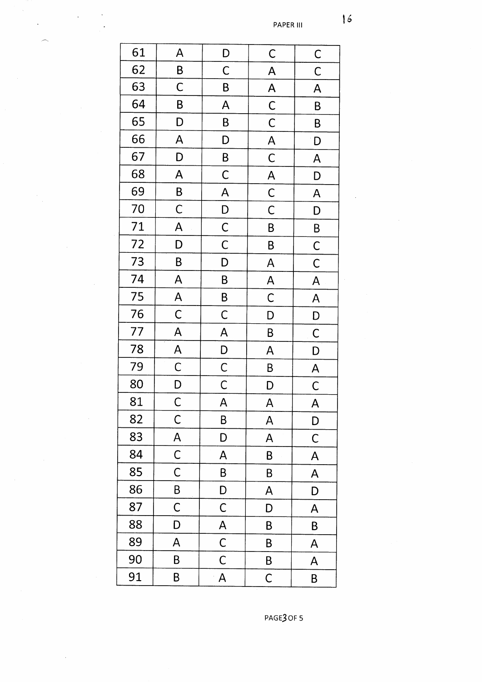PAPER III

| 61 | A                       | D                         | $\mathsf C$               | $\overline{C}$                                                                                           |
|----|-------------------------|---------------------------|---------------------------|----------------------------------------------------------------------------------------------------------|
| 62 | B                       | $\mathsf C$               | $\overline{A}$            | $\mathsf{C}$                                                                                             |
| 63 | C                       | B                         | $\overline{A}$            | $\mathsf{A}% _{T}=\mathsf{A}_{T}\!\left( a,b\right) ,\mathsf{A}_{T}=\mathsf{A}_{T}\!\left( a,b\right) ,$ |
| 64 | B                       | A                         | $\overline{\overline{C}}$ | B                                                                                                        |
| 65 | D                       | B                         | $\overline{\overline{C}}$ | B                                                                                                        |
| 66 | A                       | D                         | $\overline{\mathsf{A}}$   | D                                                                                                        |
| 67 | D                       | $\mathsf{B}$              | $\mathsf{C}$              | A                                                                                                        |
| 68 | $\overline{\mathsf{A}}$ | $\overline{C}$            | $\overline{A}$            | D                                                                                                        |
| 69 | $\mathsf{B}$            | $\overline{\mathsf{A}}$   | $\overline{C}$            | $\overline{\mathsf{A}}$                                                                                  |
| 70 | $\mathsf{C}$            | $\overline{D}$            | $\overline{\overline{C}}$ | D                                                                                                        |
| 71 | A                       | $\mathsf{C}$              | B                         | B                                                                                                        |
| 72 | D                       | $\mathsf{C}$              | B                         | $\mathsf{C}$                                                                                             |
| 73 | B                       | D                         | $\mathsf{A}$              | $\mathsf C$                                                                                              |
| 74 | $\overline{\mathsf{A}}$ | B                         | $\overline{\mathsf{A}}$   | $\overline{\mathsf{A}}$                                                                                  |
| 75 | $\overline{\mathsf{A}}$ | $\overline{B}$            | $\mathsf{C}$              | $\overline{\mathsf{A}}$                                                                                  |
| 76 | $\overline{C}$          | $\mathsf C$               | D                         | D                                                                                                        |
| 77 | $\mathsf{A}$            | A                         | B                         | $\mathsf C$                                                                                              |
| 78 | $\overline{\mathsf{A}}$ | $\overline{D}$            | A                         | D                                                                                                        |
| 79 | $\overline{C}$          | $\overline{C}$            | B                         | $\mathsf{A}$                                                                                             |
| 80 | $\overline{D}$          | $\overline{\overline{C}}$ | D                         | $\mathsf{C}$                                                                                             |
| 81 | $\mathsf C$             | A                         | $\overline{\mathsf{A}}$   | $\overline{\mathsf{A}}$                                                                                  |
| 82 | $\mathsf{C}$            | B                         | A                         | D                                                                                                        |
| 83 | A                       | D                         | A                         | C                                                                                                        |
| 84 | $\mathsf C$             | A                         | B                         | A                                                                                                        |
| 85 | $\mathsf C$             | B                         | B                         | A                                                                                                        |
| 86 | B                       | D                         | A                         | D                                                                                                        |
| 87 | $\mathsf C$             | $\mathsf C$               | D                         | A                                                                                                        |
| 88 | D                       | A                         | B                         | Β                                                                                                        |
| 89 | A                       | $\mathsf C$               | B                         | A                                                                                                        |
| 90 | B                       | C                         | B                         | A                                                                                                        |
| 91 | B                       | A                         | $\mathsf C$               | B                                                                                                        |

 $\frac{1}{2}$ 

PAGE3 OF 5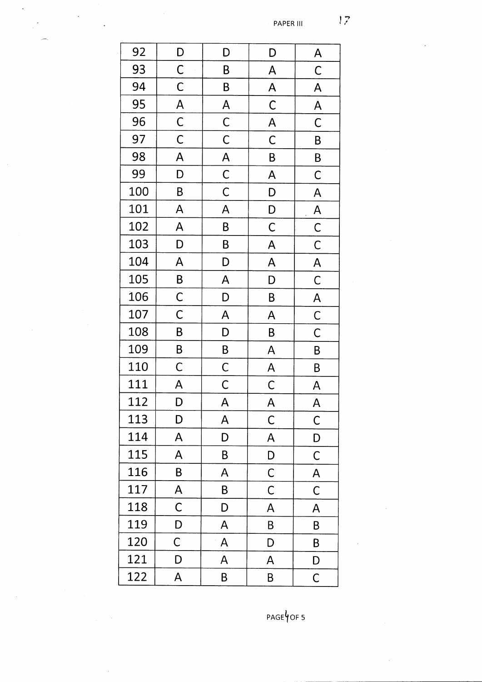PAPER III

| 92  | $\mathsf{D}$              | D                                | D                         | A                       |
|-----|---------------------------|----------------------------------|---------------------------|-------------------------|
| 93  | $\overline{C}$            | B                                | $\overline{\mathsf{A}}$   | $\overline{C}$          |
| 94  | $\overline{\overline{C}}$ | B                                | $\overline{\mathsf{A}}$   | A                       |
| 95  | $\overline{\mathsf{A}}$   | $\overline{\mathsf{A}}$          | $\overline{C}$            | $\overline{\mathsf{A}}$ |
| 96  | $\overline{C}$            | $\overline{C}$                   | $\overline{A}$            | $\mathsf C$             |
| 97  | $\overline{C}$            | $\overline{C}$                   | $\overline{\overline{C}}$ | B                       |
| 98  | $\overline{\mathsf{A}}$   | $\overline{A}$<br>$\overline{C}$ | $\overline{B}$            | B                       |
| 99  | D                         |                                  | $\mathsf{A}$              | $\mathsf C$             |
| 100 | B                         | $\overline{\overline{C}}$        | D                         | A                       |
| 101 | A                         | A                                | $\mathsf{D}$              | $\mathsf{A}$            |
| 102 | $\overline{\mathsf{A}}$   | B                                | $\overline{C}$            | $\overline{C}$          |
| 103 | D                         | $\overline{B}$                   | A                         | $\mathsf{C}$            |
| 104 | $\overline{\mathsf{A}}$   | D                                | $\overline{\mathsf{A}}$   | $\overline{\mathsf{A}}$ |
| 105 | B                         | A                                | D                         | $\mathsf{C}$            |
| 106 | $\overline{C}$            | D                                | B                         | $\mathsf{A}$            |
| 107 | $\overline{C}$            | A                                | $\overline{\mathsf{A}}$   | $\mathsf{C}$            |
| 108 | B                         | D                                | B                         | $\mathsf C$             |
| 109 | $\mathsf{B}$              | B                                | A                         | B                       |
| 110 | $\mathsf C$               | $\mathsf{C}$                     | $\overline{\mathsf{A}}$   | B                       |
| 111 | $\mathsf{A}$              | $\mathsf{C}$                     | $\mathsf{C}$              | A                       |
| 112 | D                         | A                                | A                         | A                       |
| 113 | D                         | A                                | $\mathsf C$               | С                       |
| 114 | A                         | D                                | A                         | D                       |
| 115 | A                         | B                                | D                         | C                       |
| 116 | B                         | A                                | $\mathsf{C}$              | A                       |
| 117 | A                         | B                                | $\mathsf{C}$              | С                       |
| 118 | $\mathsf C$               | D                                | A                         | A                       |
| 119 | D                         | A                                | B                         | Β                       |
| 120 | $\mathsf C$               | A                                | D                         | B                       |
| 121 | D                         | A                                | A                         | D                       |
| 122 | A                         | B                                | B                         | $\overline{C}$          |

 $PAGEYOF5$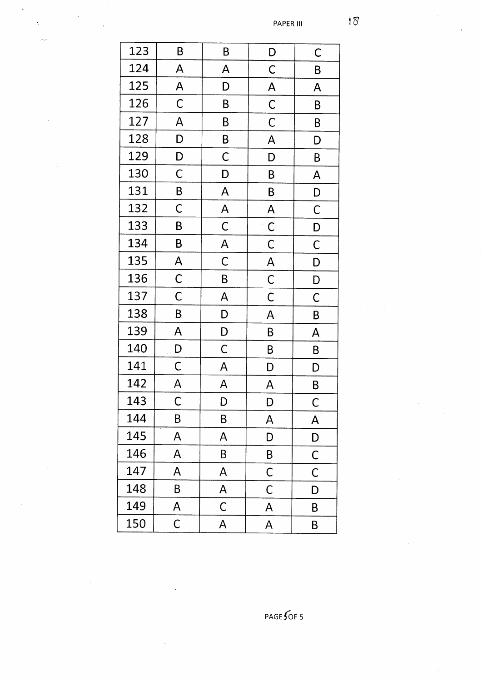| 123 | B            | Β                       | D                       | C                       |
|-----|--------------|-------------------------|-------------------------|-------------------------|
| 124 | A            | A                       | $\mathsf C$             | B                       |
| 125 | A            | D                       | $\overline{\mathsf{A}}$ | A                       |
| 126 | $\mathsf C$  | B                       | $\mathsf{C}$            | B                       |
| 127 | A            | B                       | $\mathsf{C}$            | B                       |
| 128 | D            | B                       | A                       | D                       |
| 129 | D            | $\overline{C}$          | D                       | B                       |
| 130 | $\mathsf{C}$ | D                       | B                       | $\overline{\mathsf{A}}$ |
| 131 | B            | $\overline{\mathsf{A}}$ | B                       | D                       |
| 132 | $\mathsf C$  | $\overline{A}$          | A                       | $\mathsf C$             |
| 133 | B            | $\mathsf{C}$            | $\mathsf{C}$            | D                       |
| 134 | B            | $\overline{\mathsf{A}}$ | $\mathsf C$             | $\overline{C}$          |
| 135 | A            | $\mathsf{C}$            | $\overline{\mathsf{A}}$ | D                       |
| 136 | $\mathsf{C}$ | B                       | $\overline{C}$          | D                       |
| 137 | $\mathsf{C}$ | A                       | $\mathsf C$             | C                       |
| 138 | B            | D                       | A                       | B                       |
| 139 | A            | D                       | B                       | $\overline{\mathsf{A}}$ |
| 140 | D            | $\mathsf{C}$            | B                       | B                       |
| 141 | $\mathsf C$  | $\overline{\mathsf{A}}$ | D                       | D                       |
| 142 | A            | A                       | A                       | B                       |
| 143 | Ć            | D                       | D                       | $\mathsf{C}$            |
| 144 | В            | Β                       | A                       | A                       |
| 145 | A            | A                       | D                       | D                       |
| 146 | A            | B                       | B                       | C                       |
| 147 | A            | A                       | С                       | C                       |
| 148 | B            | A                       | С                       | D                       |
| 149 | A            | C                       | A                       | B                       |
| 150 | $\mathsf C$  | A                       | A                       | Β                       |

Ŷ,

 $PAGE$  OF 5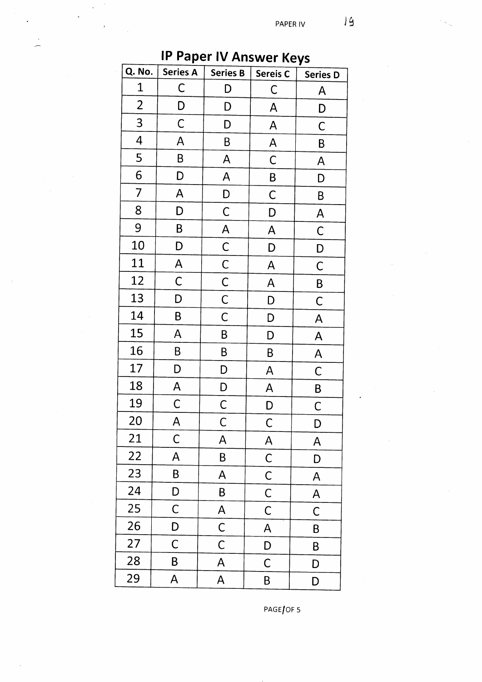| <b>HOPLITY AND WELLYS</b> |                 |                         |                         |              |
|---------------------------|-----------------|-------------------------|-------------------------|--------------|
| Q. No.                    | <b>Series A</b> | <b>Series B</b>         | Sereis C                | Series D     |
| $\mathbf 1$               | $\mathsf C$     | D                       | C                       | A            |
| $\overline{c}$            | D               | D                       | A                       | D            |
| 3                         | $\mathsf C$     | D                       | A                       | $\mathsf C$  |
| 4                         | A               | B                       | A                       | Β            |
| 5                         | B               | A                       | C                       | A            |
| 6                         | D               | $\mathsf{A}$            | B                       | D            |
| 7                         | $\mathsf{A}$    | D                       | $\mathsf C$             | B            |
| 8                         | D               | $\mathsf C$             | D                       | A            |
| 9                         | B               | A                       | A                       | $\mathsf C$  |
| 10                        | D               | $\mathsf{C}$            | D                       | D            |
| 11                        | $\mathsf{A}$    | $\overline{C}$          | A                       | C            |
| 12                        | $\mathsf C$     | $\mathsf{C}$            | $\overline{\mathsf{A}}$ | B            |
| 13                        | D               | $\mathsf{C}$            | D                       | $\mathsf C$  |
| 14                        | B               | $\mathsf C$             | D                       | A            |
| 15                        | A               | B                       | D                       | A            |
| 16                        | B               | B                       | B                       | A            |
| 17                        | D               | D                       | $\mathsf{A}$            | $\mathsf C$  |
| 18                        | A               | D                       | A                       | $\sf B$      |
| 19                        | $\mathsf C$     | $\mathsf C$             | D                       | $\mathsf C$  |
| <b>20</b>                 | A               | $\mathsf C$             | C                       | D            |
| 21                        | $\mathsf C$     | A                       | A                       | $\mathsf{A}$ |
| 22                        | A               | B                       | $\mathsf C$             | D            |
| 23                        | B               | A                       | $\mathsf C$             | A            |
| 24                        | D               | B                       | $\mathsf C$             | A            |
| 25                        | C               | A                       | С                       | C            |
| 26                        | D               | $\mathsf C$             | A                       | B            |
| 27                        | $\mathsf C$     | $\mathsf{C}$            | D                       | B            |
| 28                        | B               | A                       | C                       | D            |
| 29                        | A               | $\overline{\mathsf{A}}$ | B                       | D            |

## **IP Paner IV Answer Kove**

 $PAGE/OF$  5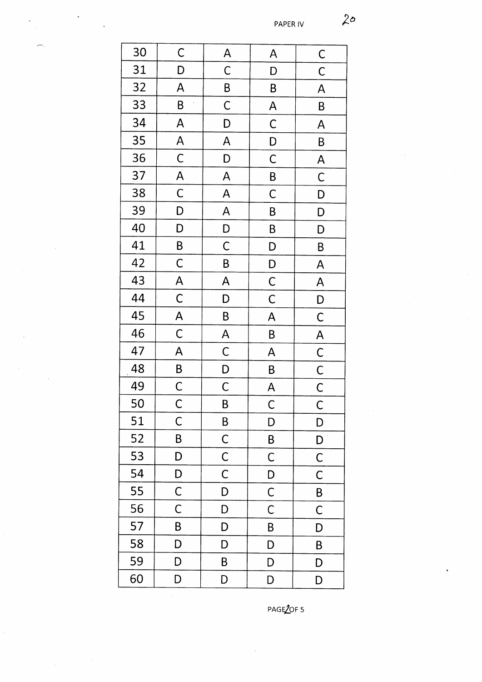| 30              | $\mathsf{C}$            | $\mathsf{A}$            | A              | $\mathsf{C}$            |
|-----------------|-------------------------|-------------------------|----------------|-------------------------|
| 31              | D                       | $\mathsf{C}$            | D              | $\mathsf C$             |
| 32              | A                       | B                       | B              | A                       |
| 33              | B                       | $\mathsf C$             | $\overline{A}$ | B                       |
| 34              | A                       | D                       | $\overline{C}$ | $\overline{\mathsf{A}}$ |
| 35              | $\mathsf{A}$            | A                       | D              | B                       |
| 36              | $\mathsf{C}$            | D                       | $\mathsf C$    | $\overline{\mathsf{A}}$ |
| 37              | $\overline{A}$          | A                       | $\mathsf{B}$   | $\mathsf C$             |
| 38              | $\overline{C}$          | $\overline{\mathsf{A}}$ | $\overline{C}$ | D                       |
| 39              | D                       | $\overline{\mathsf{A}}$ | B              | D                       |
| 40              | D                       | D                       | B              | D                       |
| 41              | B                       | $\mathsf C$             | $\mathsf{D}$   | B                       |
| 42              | $\mathsf C$             | B                       | $\mathsf{D}$   | $\mathsf{A}$            |
| 43              | $\overline{\mathsf{A}}$ | A                       | $\mathsf{C}$   | A                       |
| 44              | $\mathsf{C}$            | D                       | $\overline{C}$ | D                       |
| 45              | $\overline{\mathsf{A}}$ | B                       | A              | $\mathsf{C}$            |
| 46              | $\mathsf C$             | A                       | B              | $\overline{\mathsf{A}}$ |
| 47              | A                       | $\mathsf{C}$            | A              | $\mathsf{C}$            |
| 48              | B                       | $\overline{D}$          | B              | $\overline{C}$          |
| $\overline{49}$ | $\mathsf{C}$            | $\overline{C}$          | A              | $\overline{\mathsf{C}}$ |
| 50              | $\mathsf C$             | B                       | C              | C                       |
| 51              | C                       | B                       | D              | D                       |
| 52              | B                       | $\mathsf{C}$            | B              | D                       |
| 53              | D                       | $\mathsf C$             | $\mathsf C$    | $\mathsf C$             |
| 54              | D                       | $\mathsf C$             | D              | $\mathsf C$             |
| 55              | $\mathsf C$             | D                       | $\mathsf C$    | B                       |
| 56              | $\mathsf{C}$            | D                       | $\mathsf C$    | $\mathsf C$             |
| 57              | B                       | D                       | B              | D                       |
| 58              | D                       | D                       | D              | B                       |
| 59              | D                       | B                       | D              | D                       |
| 60              | D                       | D                       | D              | D                       |

 $\bar{\lambda}$ 

PAGE2OF 5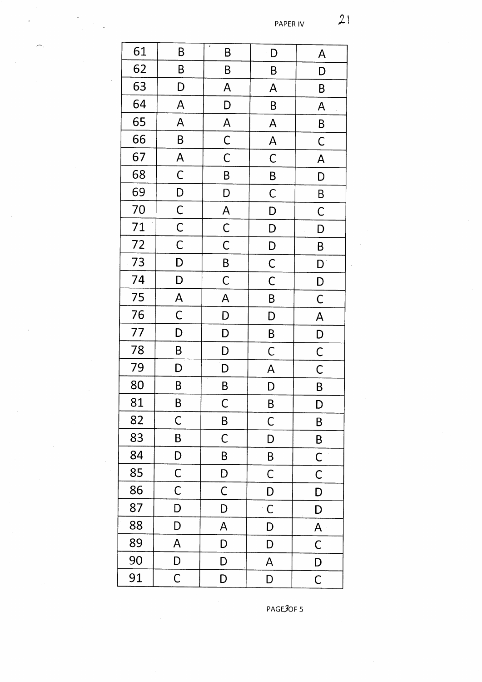| 61 | B                       | B                       | D                         | A                                                                                                        |
|----|-------------------------|-------------------------|---------------------------|----------------------------------------------------------------------------------------------------------|
| 62 | $\pmb B$                | B                       | B                         | D                                                                                                        |
| 63 | D                       | $\overline{\mathsf{A}}$ | $\mathsf{A}$              | B                                                                                                        |
| 64 | A                       | D                       | B                         | $\mathsf{A}% _{T}=\mathsf{A}_{T}\!\left( a,b\right) ,\mathsf{A}_{T}=\mathsf{A}_{T}\!\left( a,b\right) ,$ |
| 65 | A                       | $\overline{\mathsf{A}}$ | A                         | B                                                                                                        |
| 66 | B                       | $\mathsf{C}$            | A                         | C                                                                                                        |
| 67 | $\overline{\mathsf{A}}$ | $\mathsf C$             | $\mathsf{C}$              | A                                                                                                        |
| 68 | $\overline{C}$          | B                       | B                         | D                                                                                                        |
| 69 | D                       | D                       | $\mathsf{C}$              | B                                                                                                        |
| 70 | $\mathsf{C}$            | $\overline{\mathsf{A}}$ | D                         | $\mathsf C$                                                                                              |
| 71 | $\mathsf{C}$            | $\mathsf{C}$            | D                         | D                                                                                                        |
| 72 | $\mathsf{C}$            | $\mathsf C$             | $\overline{D}$            | B                                                                                                        |
| 73 | D                       | B                       | $\overline{\overline{C}}$ | $\mathsf{D}$                                                                                             |
| 74 | D                       | $\mathsf C$             | $\overline{C}$            | D                                                                                                        |
| 75 | $\overline{\mathsf{A}}$ | A                       | B                         | $\mathsf C$                                                                                              |
| 76 | $\mathsf{C}$            | D                       | D                         | A                                                                                                        |
| 77 | D                       | $\mathsf{D}$            | $\overline{B}$            | D                                                                                                        |
| 78 | B                       | D                       | $\mathsf{C}$              | $\overline{C}$                                                                                           |
| 79 | D                       | D                       | $\overline{\mathsf{A}}$   | $\overline{\overline{C}}$                                                                                |
| 80 | B                       | B                       | D                         | B                                                                                                        |
| 81 | B                       | $\mathsf C$             | B                         | D                                                                                                        |
| 82 | $\mathsf C$             | B                       | $\mathsf C$               | B                                                                                                        |
| 83 | B                       | $\mathsf C$             | D                         | B                                                                                                        |
| 84 | D                       | B                       | B                         | C                                                                                                        |
| 85 | $\mathsf C$             | D                       | C                         | $\mathsf C$                                                                                              |
| 86 | $\mathsf C$             | С                       | D                         | D                                                                                                        |
| 87 | D                       | D                       | $\mathsf C$               | D                                                                                                        |
| 88 | D                       | A                       | D                         | $\mathsf{A}$                                                                                             |
| 89 | A                       | D                       | D                         | $\mathsf C$                                                                                              |
| 90 | D                       | D                       | A                         | D                                                                                                        |
| 91 | $\mathsf C$             | D                       | D                         | $\overline{C}$                                                                                           |

PAGE3OF 5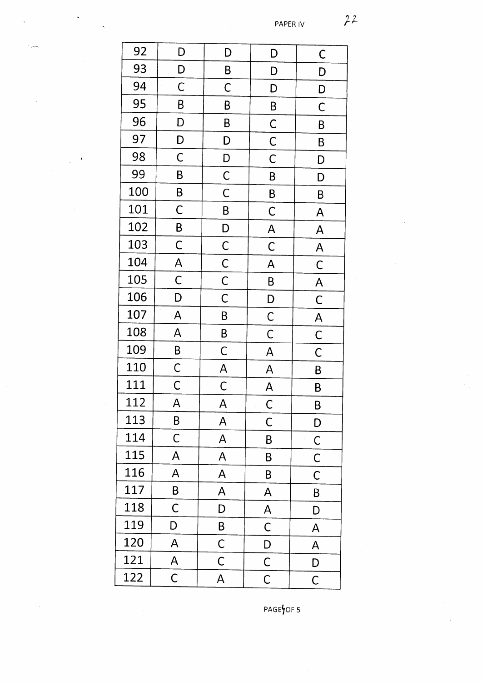| 92  | D              | D              | D                       | $\mathsf C$               |
|-----|----------------|----------------|-------------------------|---------------------------|
| 93  | $\mathsf{D}$   | B              | D                       | D                         |
| 94  | C              | $\mathsf{C}$   | D                       | D                         |
| 95  | B              | B              | B                       | $\mathsf C$               |
| 96  | D              | B              | $\overline{C}$          | B                         |
| 97  | D              | D              | $\mathsf{C}$            | B                         |
| 98  | $\mathsf C$    | D              | $\mathsf C$             | D                         |
| 99  | B              | $\mathsf C$    | B                       | D                         |
| 100 | B              | $\mathsf C$    | B                       | B                         |
| 101 | $\mathsf C$    | B              | $\mathsf C$             | A                         |
| 102 | B              | D              | $\overline{\mathsf{A}}$ | A                         |
| 103 | $\mathsf C$    | $\mathsf C$    | C                       | $\overline{\mathsf{A}}$   |
| 104 | A              | $\overline{C}$ | A                       | $\mathsf C$               |
| 105 | $\overline{C}$ | $\mathsf C$    | B                       | $\overline{\mathsf{A}}$   |
| 106 | D              | $\mathsf C$    | D                       | $\overline{\overline{C}}$ |
| 107 | A              | B              | $\mathsf{C}$            | $\overline{\mathsf{A}}$   |
| 108 | A              | B              | $\mathsf C$             | $\overline{C}$            |
| 109 | B              | C              | A                       | $\mathsf{C}$              |
| 110 | $\mathsf C$    | A              | A                       | B                         |
| 111 | $\mathsf C$    | Ć              | A                       | B                         |
| 112 | A              | A              | C                       | B                         |
| 113 | B              | A              | C                       | D                         |
| 114 | C              | A              | B                       | $\mathsf{C}$              |
| 115 | A              | A              | B                       | C                         |
| 116 | A              | A              | B                       | $\mathsf C$               |
| 117 | B              | A              | A                       | B                         |
| 118 | C              | D              | A                       | D                         |
| 119 | D              | B              | $\mathsf C$             | A                         |
| 120 | A              | $\mathsf{C}$   | D                       | A                         |
| 121 | A              | $\mathsf C$    | $\mathsf C$             | D                         |
| 122 | $\mathsf C$    | A              | $\overline{C}$          | $\overline{C}$            |

PAGEYOF 5